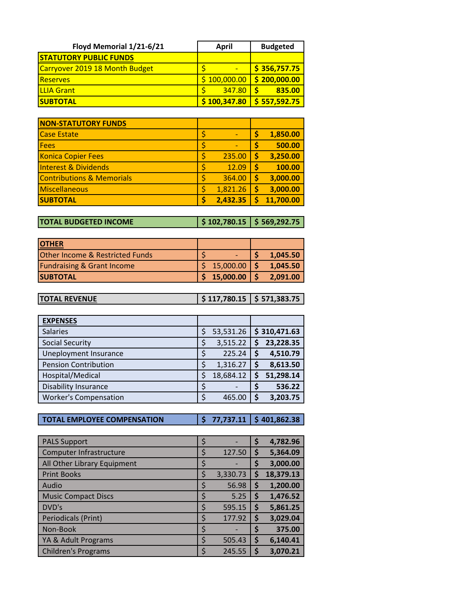| Floyd Memorial 1/21-6/21       | April  | <b>Budgeted</b>                                   |
|--------------------------------|--------|---------------------------------------------------|
| <b>STATUTORY PUBLIC FUNDS</b>  |        |                                                   |
| Carryover 2019 18 Month Budget | н      | \$356,757.75                                      |
| <b>Reserves</b>                |        | $\frac{100,000.00}{200,000.00}$ \$ 200,000.00     |
| <b>ILLIA Grant</b>             | 347.80 | - \$<br>835.00                                    |
| <b>SUBTOTAL</b>                |        | $\frac{1}{2}$ 100,347.80 $\frac{1}{2}$ 557,592.75 |

| <b>NON-STATUTORY FUNDS</b>           |   |          |    |           |
|--------------------------------------|---|----------|----|-----------|
| <b>Case Estate</b>                   |   |          | \$ | 1,850.00  |
| <b>Fees</b>                          |   |          | \$ | 500.00    |
| <b>Konica Copier Fees</b>            |   | 235.00   | Ŝ  | 3,250.00  |
| <b>Interest &amp; Dividends</b>      |   | 12.09    | \$ | 100.00    |
| <b>Contributions &amp; Memorials</b> | Ś | 364.00   | S  | 3,000.00  |
| Miscellaneous                        |   | 1,821.26 | \$ | 3,000.00  |
| <b>SUBTOTAL</b>                      |   | 2,432.35 |    | 11,700.00 |

**TOTAL BUDGETED INCOME \$ 102,780.15 \$ 569,292.75**

| <b>IOTHER</b>                              |             |          |
|--------------------------------------------|-------------|----------|
| <b>Other Income &amp; Restricted Funds</b> |             | 1,045.50 |
| <b>Fundraising &amp; Grant Income</b>      | \$15,000.00 | 1.045.50 |
| <b>ISUBTOTAL</b>                           | \$15,000.00 | 2.091.00 |

| <b>TOTAL REVENUE</b> | $\frac{1}{2}$ \$ 117,780.15 $\frac{1}{2}$ \$ 571,383.75 |  |
|----------------------|---------------------------------------------------------|--|
|----------------------|---------------------------------------------------------|--|

| <b>EXPENSES</b>              |                |   |              |
|------------------------------|----------------|---|--------------|
| <b>Salaries</b>              | 53,531.26      |   | \$310,471.63 |
| <b>Social Security</b>       | \$<br>3,515.22 |   | 23,228.35    |
| Uneployment Insurance        | 225.24         | S | 4,510.79     |
| <b>Pension Contribution</b>  | 1,316.27       | S | 8,613.50     |
| Hospital/Medical             | 18,684.12      | S | 51,298.14    |
| <b>Disability Insurance</b>  |                | S | 536.22       |
| <b>Worker's Compensation</b> | 465.00         | S | 3,203.75     |

**TOTAL EMPLOYEE COMPENSATION \$ 77,737.11 \$ 401,862.38**

| <b>PALS Support</b>         | \$ |          | \$<br>4,782.96  |
|-----------------------------|----|----------|-----------------|
| Computer Infrastructure     | \$ | 127.50   | \$<br>5,364.09  |
| All Other Library Equipment |    |          | \$<br>3,000.00  |
| <b>Print Books</b>          | \$ | 3,330.73 | \$<br>18,379.13 |
| Audio                       | \$ | 56.98    | \$<br>1,200.00  |
| <b>Music Compact Discs</b>  | Ś  | 5.25     | \$<br>1,476.52  |
| DVD's                       | \$ | 595.15   | \$<br>5,861.25  |
| Periodicals (Print)         | Ś  | 177.92   | \$<br>3,029.04  |
| Non-Book                    | \$ |          | \$<br>375.00    |
| YA & Adult Programs         | Ś  | 505.43   | \$<br>6,140.41  |
| <b>Children's Programs</b>  |    | 245.55   | \$<br>3,070.21  |